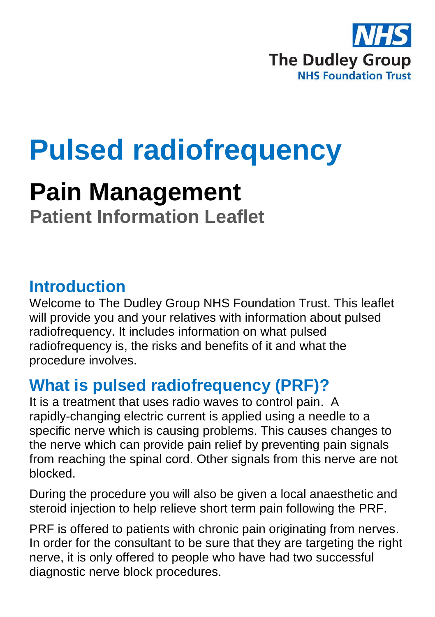

# **Pulsed radiofrequency**

## **Pain Management Patient Information Leaflet**

### **Introduction**

Welcome to The Dudley Group NHS Foundation Trust. This leaflet will provide you and your relatives with information about pulsed radiofrequency. It includes information on what pulsed radiofrequency is, the risks and benefits of it and what the procedure involves.

### **What is pulsed radiofrequency (PRF)?**

It is a treatment that uses radio waves to control pain. A rapidly-changing electric current is applied using a needle to a specific nerve which is causing problems. This causes changes to the nerve which can provide pain relief by preventing pain signals from reaching the spinal cord. Other signals from this nerve are not blocked.

During the procedure you will also be given a local anaesthetic and steroid injection to help relieve short term pain following the PRF.

PRF is offered to patients with chronic pain originating from nerves. In order for the consultant to be sure that they are targeting the right nerve, it is only offered to people who have had two successful diagnostic nerve block procedures.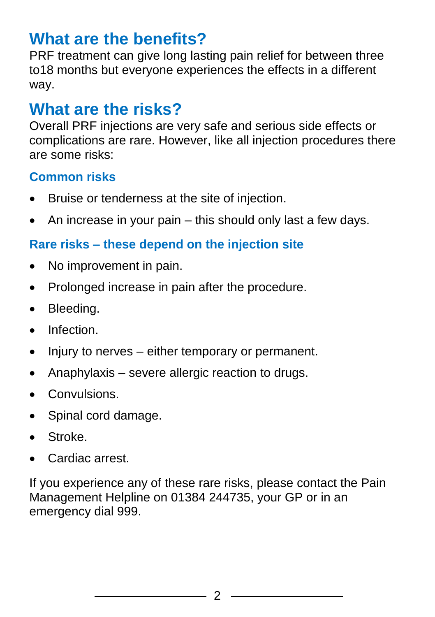### **What are the benefits?**

PRF treatment can give long lasting pain relief for between three to18 months but everyone experiences the effects in a different way.

### **What are the risks?**

Overall PRF injections are very safe and serious side effects or complications are rare. However, like all injection procedures there are some risks:

#### **Common risks**

- Bruise or tenderness at the site of injection.
- $\bullet$  An increase in your pain this should only last a few days.

#### **Rare risks – these depend on the injection site**

- No improvement in pain.
- Prolonged increase in pain after the procedure.
- Bleeding.
- Infection.
- Injury to nerves either temporary or permanent.
- Anaphylaxis severe allergic reaction to drugs.
- Convulsions.
- Spinal cord damage.
- Stroke.
- Cardiac arrest.

If you experience any of these rare risks, please contact the Pain Management Helpline on 01384 244735, your GP or in an emergency dial 999.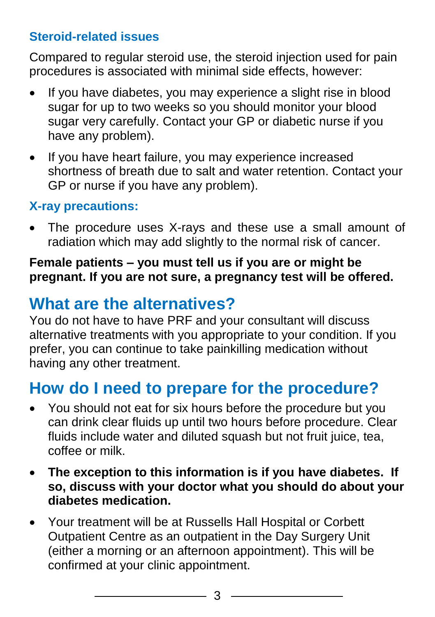#### **Steroid-related issues**

Compared to regular steroid use, the steroid injection used for pain procedures is associated with minimal side effects, however:

- If you have diabetes, you may experience a slight rise in blood sugar for up to two weeks so you should monitor your blood sugar very carefully. Contact your GP or diabetic nurse if you have any problem).
- If you have heart failure, you may experience increased shortness of breath due to salt and water retention. Contact your GP or nurse if you have any problem).

#### **X-ray precautions:**

 The procedure uses X-rays and these use a small amount of radiation which may add slightly to the normal risk of cancer.

#### **Female patients – you must tell us if you are or might be pregnant. If you are not sure, a pregnancy test will be offered.**

### **What are the alternatives?**

You do not have to have PRF and your consultant will discuss alternative treatments with you appropriate to your condition. If you prefer, you can continue to take painkilling medication without having any other treatment.

### **How do I need to prepare for the procedure?**

- You should not eat for six hours before the procedure but you can drink clear fluids up until two hours before procedure. Clear fluids include water and diluted squash but not fruit juice, tea, coffee or milk.
- **The exception to this information is if you have diabetes. If so, discuss with your doctor what you should do about your diabetes medication.**
- Your treatment will be at Russells Hall Hospital or Corbett Outpatient Centre as an outpatient in the Day Surgery Unit (either a morning or an afternoon appointment). This will be confirmed at your clinic appointment.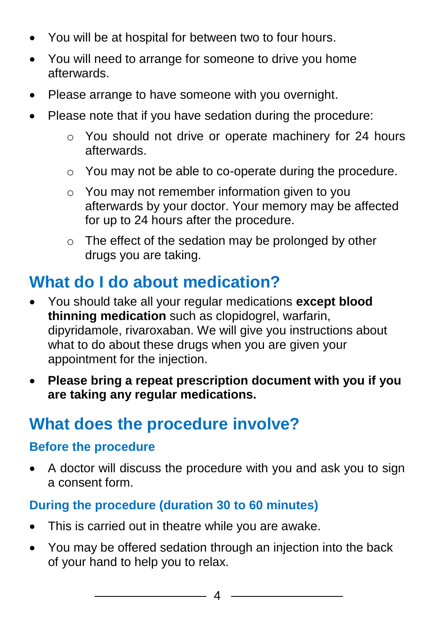- You will be at hospital for between two to four hours.
- You will need to arrange for someone to drive you home afterwards.
- Please arrange to have someone with you overnight.
- Please note that if you have sedation during the procedure:
	- o You should not drive or operate machinery for 24 hours afterwards.
	- o You may not be able to co-operate during the procedure.
	- o You may not remember information given to you afterwards by your doctor. Your memory may be affected for up to 24 hours after the procedure.
	- o The effect of the sedation may be prolonged by other drugs you are taking.

### **What do I do about medication?**

- You should take all your regular medications **except blood thinning medication** such as clopidogrel, warfarin, dipyridamole, rivaroxaban. We will give you instructions about what to do about these drugs when you are given your appointment for the injection.
- **Please bring a repeat prescription document with you if you are taking any regular medications.**

### **What does the procedure involve?**

#### **Before the procedure**

 A doctor will discuss the procedure with you and ask you to sign a consent form.

#### **During the procedure (duration 30 to 60 minutes)**

- This is carried out in theatre while you are awake.
- You may be offered sedation through an injection into the back of your hand to help you to relax.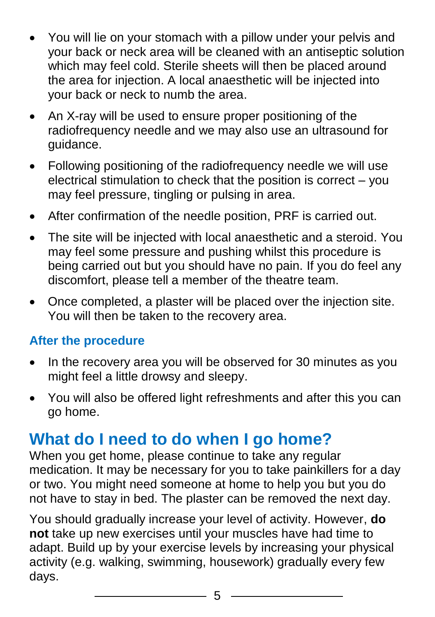- You will lie on your stomach with a pillow under your pelvis and your back or neck area will be cleaned with an antiseptic solution which may feel cold. Sterile sheets will then be placed around the area for injection. A local anaesthetic will be injected into your back or neck to numb the area.
- An X-ray will be used to ensure proper positioning of the radiofrequency needle and we may also use an ultrasound for guidance.
- Following positioning of the radiofrequency needle we will use electrical stimulation to check that the position is correct – you may feel pressure, tingling or pulsing in area.
- After confirmation of the needle position, PRF is carried out.
- The site will be injected with local anaesthetic and a steroid. You may feel some pressure and pushing whilst this procedure is being carried out but you should have no pain. If you do feel any discomfort, please tell a member of the theatre team.
- Once completed, a plaster will be placed over the injection site. You will then be taken to the recovery area.

#### **After the procedure**

- In the recovery area you will be observed for 30 minutes as you might feel a little drowsy and sleepy.
- You will also be offered light refreshments and after this you can go home.

### **What do I need to do when I go home?**

When you get home, please continue to take any regular medication. It may be necessary for you to take painkillers for a day or two. You might need someone at home to help you but you do not have to stay in bed. The plaster can be removed the next day.

You should gradually increase your level of activity. However, **do not** take up new exercises until your muscles have had time to adapt. Build up by your exercise levels by increasing your physical activity (e.g. walking, swimming, housework) gradually every few days.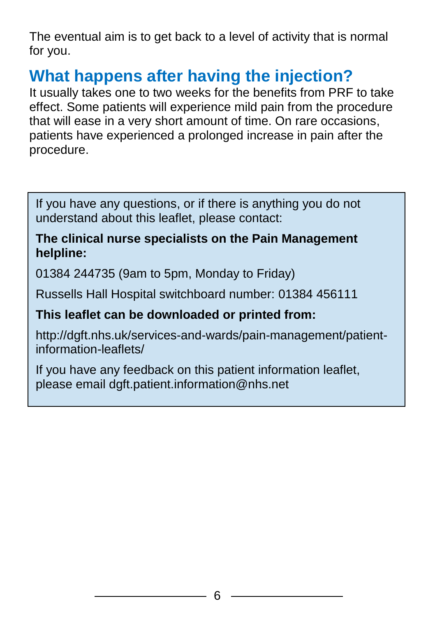The eventual aim is to get back to a level of activity that is normal for you.

### **What happens after having the injection?**

It usually takes one to two weeks for the benefits from PRF to take effect. Some patients will experience mild pain from the procedure that will ease in a very short amount of time. On rare occasions, patients have experienced a prolonged increase in pain after the procedure.

If you have any questions, or if there is anything you do not understand about this leaflet, please contact:

#### **The clinical nurse specialists on the Pain Management helpline:**

01384 244735 (9am to 5pm, Monday to Friday)

Russells Hall Hospital switchboard number: 01384 456111

#### **This leaflet can be downloaded or printed from:**

http://dgft.nhs.uk/services-and-wards/pain-management/patientinformation-leaflets/

If you have any feedback on this patient information leaflet, please email dgft.patient.information@nhs.net